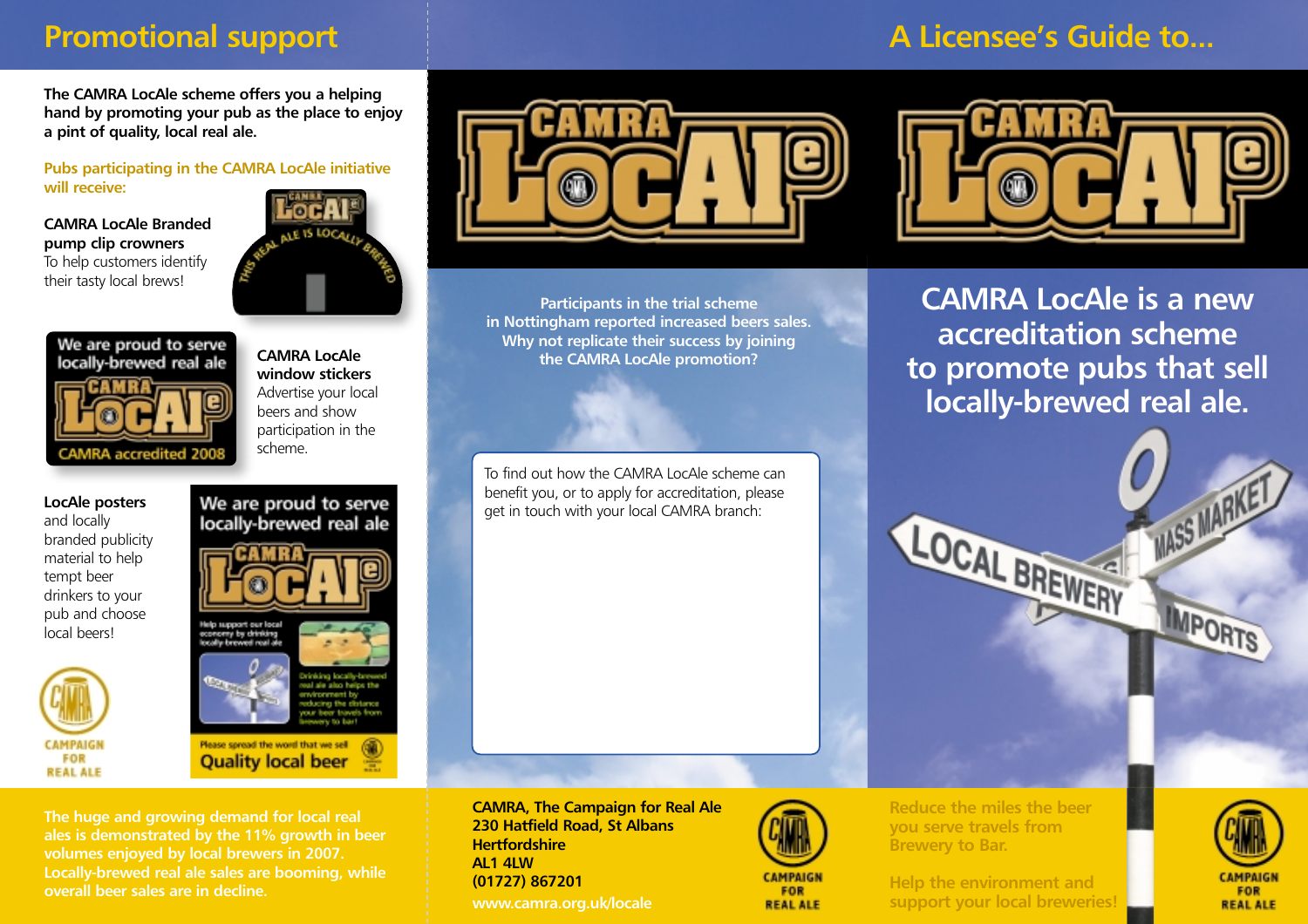# **Promotional support**

### **The CAMRA LocAle scheme offers you a helping hand by promoting your pub as the place to enjoy a pint of quality, local real ale.**

### **Pubs participating in the CAMRA LocAle initiative will receive:**

#### **CAMRA LocAle Branded pump clip crowners** To help customers identify their tasty local brews!



**CAMRA LocAle**

# We are proud to serve locally-brewed real ale **CAMRA** accredited

**window stickers** Advertise your local beers and show participation in the scheme.

We are proud to serve

locally-brewed real ale

#### **LocAle posters** and locally branded publicity material to help tempt beer drinkers to your pub and choose local beers!



Please spread the word that we sell **Quality local beer The huge and growing demand for local real**

concery by drinking<br>Iocalle brewed real a

**ales is demonstrated by the 11% growth in beer volumes enjoyed by local brewers in 2007. Locally-brewed real ale sales are booming, while overall beer sales are in decline.**



**Participants in the trial scheme in Nottingham reported increased beers sales. Why not replicate their success by joining the CAMRA LocAle promotion?**

To find out how the CAMRA LocAle scheme can benefit you, or to apply for accreditation, please get in touch with your local CAMRA branch:

**CAMRA, The Campaign for Real Ale 230 Hatfield Road, St Albans Hertfordshire AL1 4LW (01727) 867201 www.camra.org.uk/locale**



**REAL ALE** 

**Reduce the miles the beer you serve travels from Brewery to Bar.**

**Help the environment and support your local breweries!**

# **A Licensee's Guide to...**



**CAMRA LocAle is a new accreditation scheme to promote pubs that sell locally-brewed real ale.**